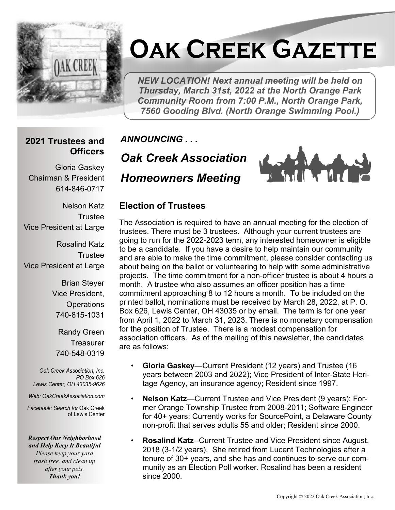

# **Oak Creek Gazette**

*NEW LOCATION! Next annual meeting will be held on Thursday, March 31st, 2022 at the North Orange Park Community Room from 7:00 P.M., North Orange Park, 7560 Gooding Blvd. (North Orange Swimming Pool.)*

#### **2021 Trustees and Officers**

Gloria Gaskey Chairman & President 614-846-0717

Nelson Katz **Trustee** Vice President at Large

Rosalind Katz **Trustee** Vice President at Large

> Brian Steyer Vice President, **Operations** 740-815-1031

Randy Green **Treasurer** 740-548-0319

*Oak Creek Association, Inc. PO Box 626 Lewis Center, OH 43035-9626*

*Web: OakCreekAssociation.com*

*Facebook: Search for* Oak Creek of Lewis Center

*Respect Our Neighborhood and Help Keep It Beautiful Please keep your yard trash free, and clean up after your pets. Thank you!*

*ANNOUNCING . . .*

*Oak Creek Association Homeowners Meeting*

#### **Election of Trustees**

The Association is required to have an annual meeting for the election of trustees. There must be 3 trustees. Although your current trustees are going to run for the 2022-2023 term, any interested homeowner is eligible to be a candidate. If you have a desire to help maintain our community and are able to make the time commitment, please consider contacting us about being on the ballot or volunteering to help with some administrative projects. The time commitment for a non-officer trustee is about 4 hours a month. A trustee who also assumes an officer position has a time commitment approaching 8 to 12 hours a month. To be included on the printed ballot, nominations must be received by March 28, 2022, at P. O. Box 626, Lewis Center, OH 43035 or by email. The term is for one year from April 1, 2022 to March 31, 2023. There is no monetary compensation for the position of Trustee. There is a modest compensation for association officers. As of the mailing of this newsletter, the candidates are as follows:

- **Gloria Gaskey**—Current President (12 years) and Trustee (16 years between 2003 and 2022); Vice President of Inter-State Heritage Agency, an insurance agency; Resident since 1997.
- **Nelson Katz**—Current Trustee and Vice President (9 years); Former Orange Township Trustee from 2008-2011; Software Engineer for 40+ years; Currently works for SourcePoint, a Delaware County non-profit that serves adults 55 and older; Resident since 2000.
- **Rosalind Katz**--Current Trustee and Vice President since August, 2018 (3-1/2 years). She retired from Lucent Technologies after a tenure of 30+ years, and she has and continues to serve our community as an Election Poll worker. Rosalind has been a resident since 2000.

u din e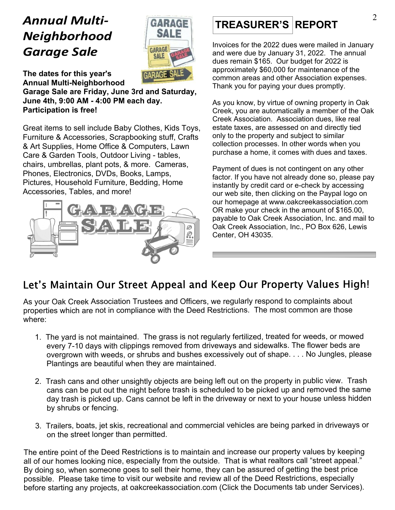## *Annual Multi-Neighborhood Garage Sale*



**The dates for this year's Annual Multi-Neighborhood**

**Garage Sale are Friday, June 3rd and Saturday, June 4th, 9:00 AM - 4:00 PM each day. Participation is free!**

Great items to sell include Baby Clothes, Kids Toys, Furniture & Accessories, Scrapbooking stuff, Crafts & Art Supplies, Home Office & Computers, Lawn Care & Garden Tools, Outdoor Living - tables, chairs, umbrellas, plant pots, & more. Cameras, Phones, Electronics, DVDs, Books, Lamps, Pictures, Household Furniture, Bedding, Home Accessories, Tables, and more!



### **TREASURER'S REPORT**

Invoices for the 2022 dues were mailed in January and were due by January 31, 2022. The annual dues remain \$165. Our budget for 2022 is approximately \$60,000 for maintenance of the common areas and other Association expenses. Thank you for paying your dues promptly.

As you know, by virtue of owning property in Oak Creek, you are automatically a member of the Oak Creek Association. Association dues, like real estate taxes, are assessed on and directly tied only to the property and subject to similar collection processes. In other words when you purchase a home, it comes with dues and taxes.

Payment of dues is not contingent on any other factor. If you have not already done so, please pay instantly by credit card or e-check by accessing our web site, then clicking on the Paypal logo on our homepage at www.oakcreekassociation.com OR make your check in the amount of \$165.00, payable to Oak Creek Association, Inc. and mail to Oak Creek Association, Inc., PO Box 626, Lewis Center, OH 43035.

#### Let's Maintain Our Street Appeal and Keep Our Property Values High!

As your Oak Creek Association Trustees and Officers, we regularly respond to complaints about properties which are not in compliance with the Deed Restrictions. The most common are those where:

- 1. The yard is not maintained. The grass is not regularly fertilized, treated for weeds, or mowed every 7-10 days with clippings removed from driveways and sidewalks. The flower beds are overgrown with weeds, or shrubs and bushes excessively out of shape. . . . No Jungles, please Plantings are beautiful when they are maintained.
- 2. Trash cans and other unsightly objects are being left out on the property in public view. Trash cans can be put out the night before trash is scheduled to be picked up and removed the same day trash is picked up. Cans cannot be left in the driveway or next to your house unless hidden by shrubs or fencing.
- 3. Trailers, boats, jet skis, recreational and commercial vehicles are being parked in driveways or on the street longer than permitted.

The entire point of the Deed Restrictions is to maintain and increase our property values by keeping all of our homes looking nice, especially from the outside. That is what realtors call "street appeal." By doing so, when someone goes to sell their home, they can be assured of getting the best price possible. Please take time to visit our website and review all of the Deed Restrictions, especially before starting any projects, at oakcreekassociation.com (Click the Documents tab under Services).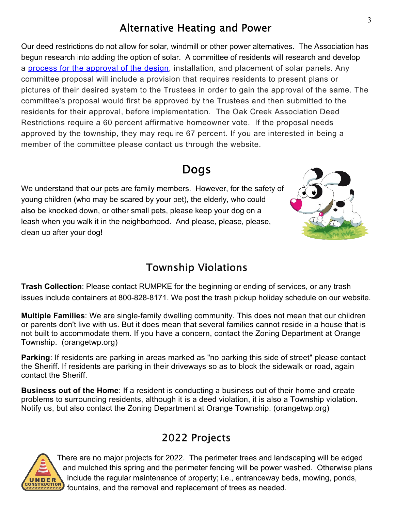#### **Alternative Heating and Power**

Our deed restrictions do not allow for solar, windmill or other power alternatives. The Association has begun research into adding the option of solar. A committee of residents will research and develop a process for the approval of the design, installation, and placement of solar panels. Any committee proposal will include a provision that requires residents to present plans or pictures of their desired system to the Trustees in order to gain the approval of the same. The committee's proposal would first be approved by the Trustees and then submitted to the residents for their approval, before implementation. The Oak Creek Association Deed Restrictions require a 60 percent affirmative homeowner vote. If the proposal needs approved by the township, they may require 67 percent. If you are interested in being a member of the committee please contact us through the website.

#### **Dogs**

We understand that our pets are family members. However, for the safety of young children (who may be scared by your pet), the elderly, who could also be knocked down, or other small pets, please keep your dog on a leash when you walk it in the neighborhood. And please, please, please, clean up after your dog!



#### **Township Violations**

**Trash Collection**: Please contact RUMPKE for the beginning or ending of services, or any trash issues include containers at 800-828-8171. We post the trash pickup holiday schedule on our website.

**Multiple Families**: We are single-family dwelling community. This does not mean that our children or parents don't live with us. But it does mean that several families cannot reside in a house that is not built to accommodate them. If you have a concern, contact the Zoning Department at Orange Township. (orangetwp.org)

**Parking**: If residents are parking in areas marked as "no parking this side of street" please contact the Sheriff. If residents are parking in their driveways so as to block the sidewalk or road, again contact the Sheriff.

**Business out of the Home**: If a resident is conducting a business out of their home and create problems to surrounding residents, although it is a deed violation, it is also a Township violation. Notify us, but also contact the Zoning Department at Orange Township. (orangetwp.org)

#### 2022 Projects



There are no major projects for 2022. The perimeter trees and landscaping will be edged and mulched this spring and the perimeter fencing will be power washed. Otherwise plans include the regular maintenance of property; i.e., entranceway beds, mowing, ponds, fountains, and the removal and replacement of trees as needed.